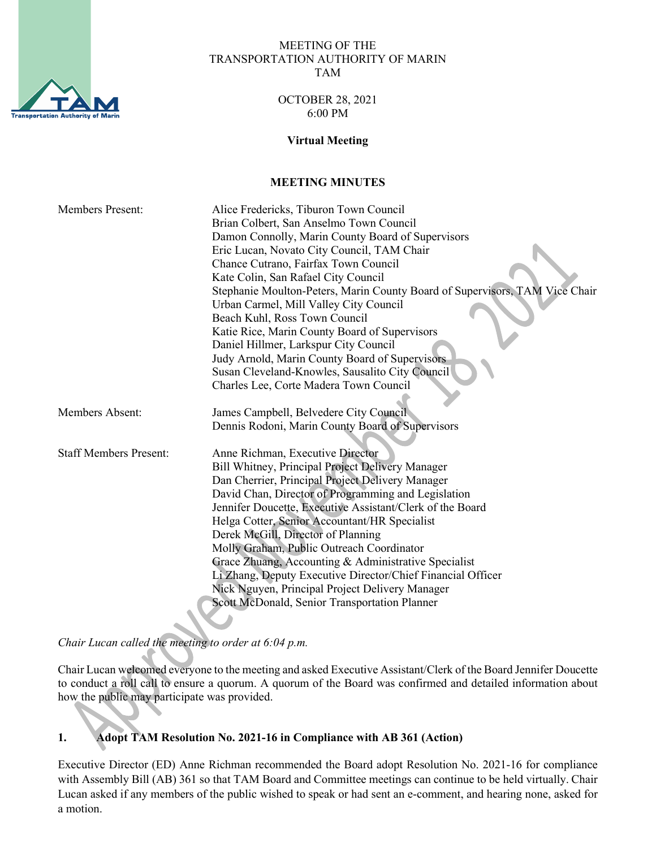

#### MEETING OF THE TRANSPORTATION AUTHORITY OF MARIN TAM

## OCTOBER 28, 2021 6:00 PM

## **Virtual Meeting**

# **MEETING MINUTES**

| <b>Members Present:</b>       | Alice Fredericks, Tiburon Town Council                                      |
|-------------------------------|-----------------------------------------------------------------------------|
|                               | Brian Colbert, San Anselmo Town Council                                     |
|                               | Damon Connolly, Marin County Board of Supervisors                           |
|                               | Eric Lucan, Novato City Council, TAM Chair                                  |
|                               | Chance Cutrano, Fairfax Town Council                                        |
|                               | Kate Colin, San Rafael City Council                                         |
|                               | Stephanie Moulton-Peters, Marin County Board of Supervisors, TAM Vice Chair |
|                               | Urban Carmel, Mill Valley City Council                                      |
|                               | Beach Kuhl, Ross Town Council                                               |
|                               | Katie Rice, Marin County Board of Supervisors                               |
|                               | Daniel Hillmer, Larkspur City Council                                       |
|                               | Judy Arnold, Marin County Board of Supervisors                              |
|                               | Susan Cleveland-Knowles, Sausalito City Council                             |
|                               | Charles Lee, Corte Madera Town Council                                      |
|                               |                                                                             |
| Members Absent:               | James Campbell, Belvedere City Council                                      |
|                               | Dennis Rodoni, Marin County Board of Supervisors                            |
|                               |                                                                             |
| <b>Staff Members Present:</b> | Anne Richman, Executive Director                                            |
|                               | Bill Whitney, Principal Project Delivery Manager                            |
|                               | Dan Cherrier, Principal Project Delivery Manager                            |
|                               | David Chan, Director of Programming and Legislation                         |
|                               | Jennifer Doucette, Executive Assistant/Clerk of the Board                   |
|                               | Helga Cotter, Senior Accountant/HR Specialist                               |
|                               | Derek McGill, Director of Planning                                          |
|                               | Molly Graham, Public Outreach Coordinator                                   |
|                               | Grace Zhuang, Accounting & Administrative Specialist                        |
|                               | Li Zhang, Deputy Executive Director/Chief Financial Officer                 |
|                               | Nick Nguyen, Principal Project Delivery Manager                             |
|                               | Scott McDonald, Senior Transportation Planner                               |
|                               |                                                                             |

*Chair Lucan called the meeting to order at 6:04 p.m.* 

Chair Lucan welcomed everyone to the meeting and asked Executive Assistant/Clerk of the Board Jennifer Doucette to conduct a roll call to ensure a quorum. A quorum of the Board was confirmed and detailed information about how the public may participate was provided.

## **1. Adopt TAM Resolution No. 2021-16 in Compliance with AB 361 (Action)**

Executive Director (ED) Anne Richman recommended the Board adopt Resolution No. 2021-16 for compliance with Assembly Bill (AB) 361 so that TAM Board and Committee meetings can continue to be held virtually. Chair Lucan asked if any members of the public wished to speak or had sent an e-comment, and hearing none, asked for a motion.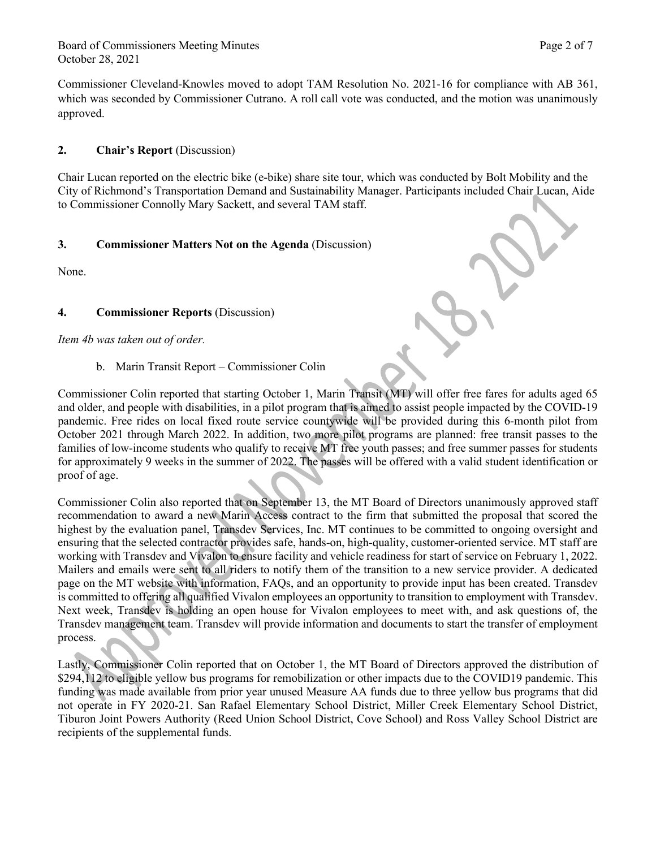Board of Commissioners Meeting Minutes **Page 2 of 7** and 2 of 7 October 28, 2021

Commissioner Cleveland-Knowles moved to adopt TAM Resolution No. 2021-16 for compliance with AB 361, which was seconded by Commissioner Cutrano. A roll call vote was conducted, and the motion was unanimously approved.

### **2. Chair's Report** (Discussion)

Chair Lucan reported on the electric bike (e-bike) share site tour, which was conducted by Bolt Mobility and the City of Richmond's Transportation Demand and Sustainability Manager. Participants included Chair Lucan, Aide to Commissioner Connolly Mary Sackett, and several TAM staff.

## **3. Commissioner Matters Not on the Agenda** (Discussion)

None.

## **4. Commissioner Reports** (Discussion)

*Item 4b was taken out of order.*

b. Marin Transit Report – Commissioner Colin

Commissioner Colin reported that starting October 1, Marin Transit (MT) will offer free fares for adults aged 65 and older, and people with disabilities, in a pilot program that is aimed to assist people impacted by the COVID-19 pandemic. Free rides on local fixed route service countywide will be provided during this 6-month pilot from October 2021 through March 2022. In addition, two more pilot programs are planned: free transit passes to the families of low-income students who qualify to receive MT free youth passes; and free summer passes for students for approximately 9 weeks in the summer of 2022. The passes will be offered with a valid student identification or proof of age.

Commissioner Colin also reported that on September 13, the MT Board of Directors unanimously approved staff recommendation to award a new Marin Access contract to the firm that submitted the proposal that scored the highest by the evaluation panel, Transdev Services, Inc. MT continues to be committed to ongoing oversight and ensuring that the selected contractor provides safe, hands-on, high-quality, customer-oriented service. MT staff are working with Transdev and Vivalon to ensure facility and vehicle readiness for start of service on February 1, 2022. Mailers and emails were sent to all riders to notify them of the transition to a new service provider. A dedicated page on the MT website with information, FAQs, and an opportunity to provide input has been created. Transdev is committed to offering all qualified Vivalon employees an opportunity to transition to employment with Transdev. Next week, Transdev is holding an open house for Vivalon employees to meet with, and ask questions of, the Transdev management team. Transdev will provide information and documents to start the transfer of employment process.

Lastly, Commissioner Colin reported that on October 1, the MT Board of Directors approved the distribution of \$294,112 to eligible yellow bus programs for remobilization or other impacts due to the COVID19 pandemic. This funding was made available from prior year unused Measure AA funds due to three yellow bus programs that did not operate in FY 2020-21. San Rafael Elementary School District, Miller Creek Elementary School District, Tiburon Joint Powers Authority (Reed Union School District, Cove School) and Ross Valley School District are recipients of the supplemental funds.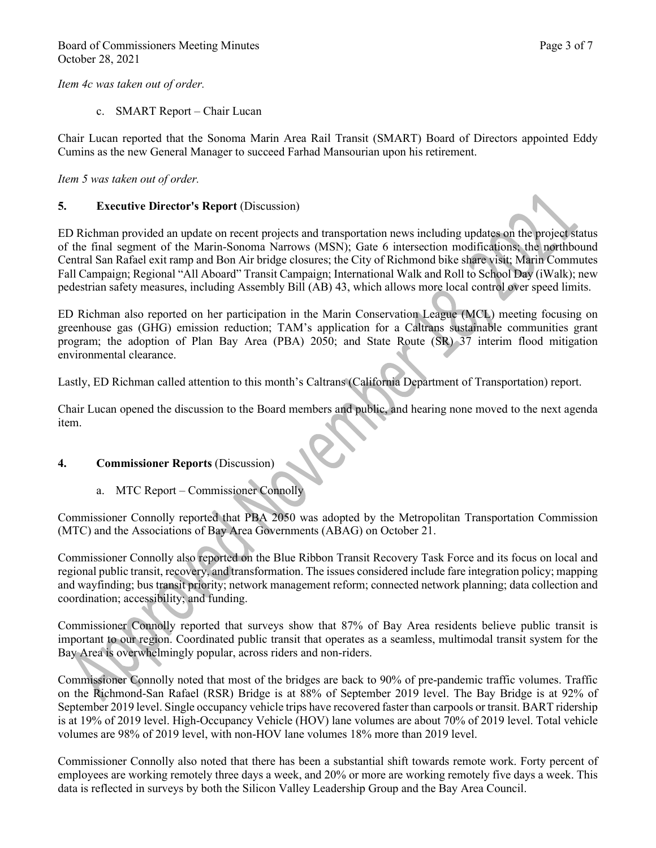*Item 4c was taken out of order.*

c. SMART Report – Chair Lucan

Chair Lucan reported that the Sonoma Marin Area Rail Transit (SMART) Board of Directors appointed Eddy Cumins as the new General Manager to succeed Farhad Mansourian upon his retirement.

*Item 5 was taken out of order.*

### **5. Executive Director's Report** (Discussion)

ED Richman provided an update on recent projects and transportation news including updates on the project status of the final segment of the Marin-Sonoma Narrows (MSN); Gate 6 intersection modifications; the northbound Central San Rafael exit ramp and Bon Air bridge closures; the City of Richmond bike share visit; Marin Commutes Fall Campaign; Regional "All Aboard" Transit Campaign; International Walk and Roll to School Day (iWalk); new pedestrian safety measures, including Assembly Bill (AB) 43, which allows more local control over speed limits.

ED Richman also reported on her participation in the Marin Conservation League (MCL) meeting focusing on greenhouse gas (GHG) emission reduction; TAM's application for a Caltrans sustainable communities grant program; the adoption of Plan Bay Area (PBA) 2050; and State Route (SR) 37 interim flood mitigation environmental clearance.

Lastly, ED Richman called attention to this month's Caltrans (California Department of Transportation) report.

Chair Lucan opened the discussion to the Board members and public, and hearing none moved to the next agenda item.

### **4. Commissioner Reports** (Discussion)

a. MTC Report – Commissioner Connolly

Commissioner Connolly reported that PBA 2050 was adopted by the Metropolitan Transportation Commission (MTC) and the Associations of Bay Area Governments (ABAG) on October 21.

Commissioner Connolly also reported on the Blue Ribbon Transit Recovery Task Force and its focus on local and regional public transit, recovery, and transformation. The issues considered include fare integration policy; mapping and wayfinding; bus transit priority; network management reform; connected network planning; data collection and coordination; accessibility; and funding.

Commissioner Connolly reported that surveys show that 87% of Bay Area residents believe public transit is important to our region. Coordinated public transit that operates as a seamless, multimodal transit system for the Bay Area is overwhelmingly popular, across riders and non-riders.

Commissioner Connolly noted that most of the bridges are back to 90% of pre-pandemic traffic volumes. Traffic on the Richmond-San Rafael (RSR) Bridge is at 88% of September 2019 level. The Bay Bridge is at 92% of September 2019 level. Single occupancy vehicle trips have recovered faster than carpools or transit. BART ridership is at 19% of 2019 level. High-Occupancy Vehicle (HOV) lane volumes are about 70% of 2019 level. Total vehicle volumes are 98% of 2019 level, with non-HOV lane volumes 18% more than 2019 level.

Commissioner Connolly also noted that there has been a substantial shift towards remote work. Forty percent of employees are working remotely three days a week, and 20% or more are working remotely five days a week. This data is reflected in surveys by both the Silicon Valley Leadership Group and the Bay Area Council.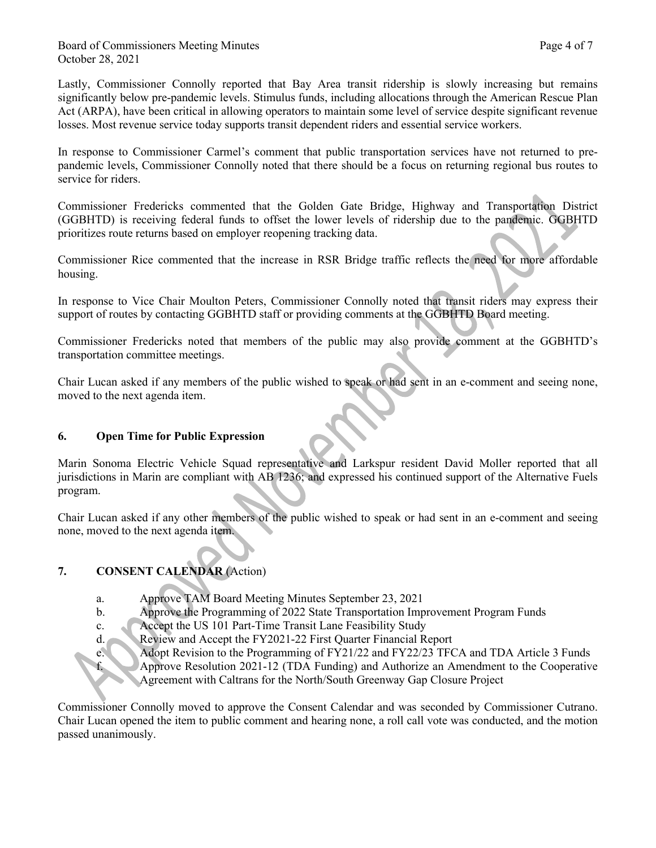Lastly, Commissioner Connolly reported that Bay Area transit ridership is slowly increasing but remains significantly below pre-pandemic levels. Stimulus funds, including allocations through the American Rescue Plan Act (ARPA), have been critical in allowing operators to maintain some level of service despite significant revenue losses. Most revenue service today supports transit dependent riders and essential service workers.

In response to Commissioner Carmel's comment that public transportation services have not returned to prepandemic levels, Commissioner Connolly noted that there should be a focus on returning regional bus routes to service for riders.

Commissioner Fredericks commented that the Golden Gate Bridge, Highway and Transportation District (GGBHTD) is receiving federal funds to offset the lower levels of ridership due to the pandemic. GGBHTD prioritizes route returns based on employer reopening tracking data.

Commissioner Rice commented that the increase in RSR Bridge traffic reflects the need for more affordable housing.

In response to Vice Chair Moulton Peters, Commissioner Connolly noted that transit riders may express their support of routes by contacting GGBHTD staff or providing comments at the GGBHTD Board meeting.

Commissioner Fredericks noted that members of the public may also provide comment at the GGBHTD's transportation committee meetings.

Chair Lucan asked if any members of the public wished to speak or had sent in an e-comment and seeing none, moved to the next agenda item.

## **6. Open Time for Public Expression**

Marin Sonoma Electric Vehicle Squad representative and Larkspur resident David Moller reported that all jurisdictions in Marin are compliant with AB 1236; and expressed his continued support of the Alternative Fuels program.

Chair Lucan asked if any other members of the public wished to speak or had sent in an e-comment and seeing none, moved to the next agenda item.

## **7. CONSENT CALENDAR** (Action)

- a. Approve TAM Board Meeting Minutes September 23, 2021
- b. Approve the Programming of 2022 State Transportation Improvement Program Funds
- c. Accept the US 101 Part-Time Transit Lane Feasibility Study
- d. Review and Accept the FY2021-22 First Quarter Financial Report
	-
- e. Adopt Revision to the Programming of FY21/22 and FY22/23 TFCA and TDA Article 3 Funds<br>Approve Resolution 2021-12 (TDA Funding) and Authorize an Amendment to the Cooperative<br>Con Closure Project f. Approve Resolution 2021-12 (TDA Funding) and Authorize an Amendment to the Cooperative Agreement with Caltrans for the North/South Greenway Gap Closure Project

Commissioner Connolly moved to approve the Consent Calendar and was seconded by Commissioner Cutrano. Chair Lucan opened the item to public comment and hearing none, a roll call vote was conducted, and the motion passed unanimously.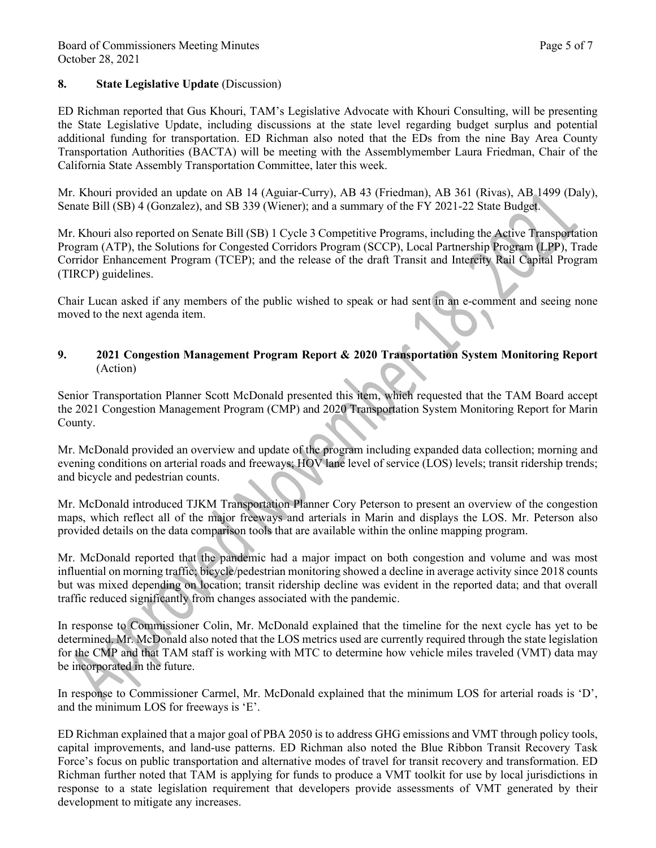#### Board of Commissioners Meeting Minutes **Page 5 of 7** and 2011 11 and 2012 12:30 and 2012 12:30 and 2012 12:30 and 2012 12:30 and 2012 12:30 and 2012 12:30 and 2012 12:30 and 2012 12:30 and 2012 12:30 and 2012 12:30 and 201 October 28, 2021

## **8. State Legislative Update** (Discussion)

ED Richman reported that Gus Khouri, TAM's Legislative Advocate with Khouri Consulting, will be presenting the State Legislative Update, including discussions at the state level regarding budget surplus and potential additional funding for transportation. ED Richman also noted that the EDs from the nine Bay Area County Transportation Authorities (BACTA) will be meeting with the Assemblymember Laura Friedman, Chair of the California State Assembly Transportation Committee, later this week.

Mr. Khouri provided an update on AB 14 (Aguiar-Curry), AB 43 (Friedman), AB 361 (Rivas), AB 1499 (Daly), Senate Bill (SB) 4 (Gonzalez), and SB 339 (Wiener); and a summary of the FY 2021-22 State Budget.

Mr. Khouri also reported on Senate Bill (SB) 1 Cycle 3 Competitive Programs, including the Active Transportation Program (ATP), the Solutions for Congested Corridors Program (SCCP), Local Partnership Program (LPP), Trade Corridor Enhancement Program (TCEP); and the release of the draft Transit and Intercity Rail Capital Program (TIRCP) guidelines.

Chair Lucan asked if any members of the public wished to speak or had sent in an e-comment and seeing none moved to the next agenda item.

# **9. 2021 Congestion Management Program Report & 2020 Transportation System Monitoring Report**  (Action)

Senior Transportation Planner Scott McDonald presented this item, which requested that the TAM Board accept the 2021 Congestion Management Program (CMP) and 2020 Transportation System Monitoring Report for Marin County.

Mr. McDonald provided an overview and update of the program including expanded data collection; morning and evening conditions on arterial roads and freeways; HOV lane level of service (LOS) levels; transit ridership trends; and bicycle and pedestrian counts.

Mr. McDonald introduced TJKM Transportation Planner Cory Peterson to present an overview of the congestion maps, which reflect all of the major freeways and arterials in Marin and displays the LOS. Mr. Peterson also provided details on the data comparison tools that are available within the online mapping program.

Mr. McDonald reported that the pandemic had a major impact on both congestion and volume and was most influential on morning traffic; bicycle/pedestrian monitoring showed a decline in average activity since 2018 counts but was mixed depending on location; transit ridership decline was evident in the reported data; and that overall traffic reduced significantly from changes associated with the pandemic.

In response to Commissioner Colin, Mr. McDonald explained that the timeline for the next cycle has yet to be determined. Mr. McDonald also noted that the LOS metrics used are currently required through the state legislation for the CMP and that TAM staff is working with MTC to determine how vehicle miles traveled (VMT) data may be incorporated in the future.

In response to Commissioner Carmel, Mr. McDonald explained that the minimum LOS for arterial roads is 'D', and the minimum LOS for freeways is 'E'.

ED Richman explained that a major goal of PBA 2050 is to address GHG emissions and VMT through policy tools, capital improvements, and land-use patterns. ED Richman also noted the Blue Ribbon Transit Recovery Task Force's focus on public transportation and alternative modes of travel for transit recovery and transformation. ED Richman further noted that TAM is applying for funds to produce a VMT toolkit for use by local jurisdictions in response to a state legislation requirement that developers provide assessments of VMT generated by their development to mitigate any increases.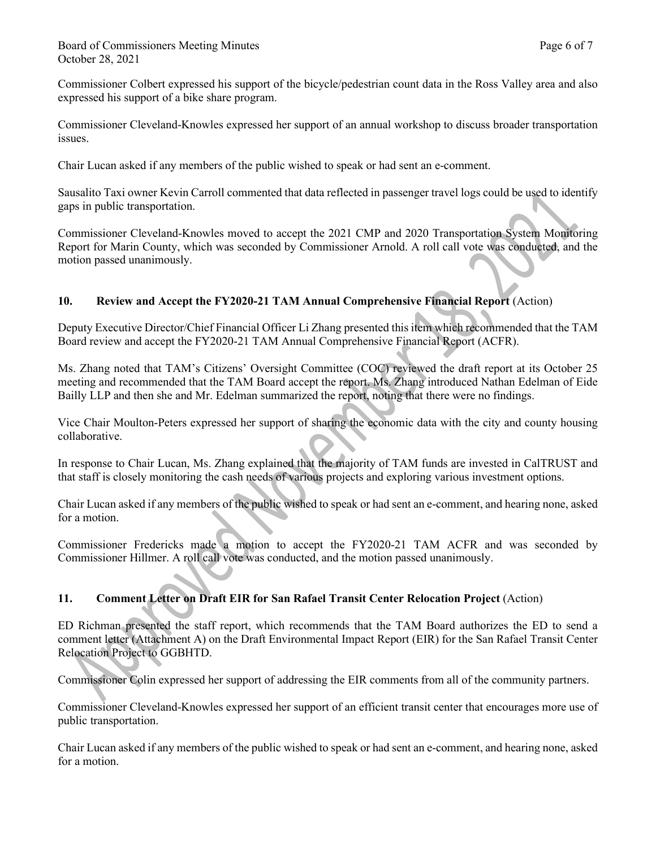Commissioner Colbert expressed his support of the bicycle/pedestrian count data in the Ross Valley area and also expressed his support of a bike share program.

Commissioner Cleveland-Knowles expressed her support of an annual workshop to discuss broader transportation issues.

Chair Lucan asked if any members of the public wished to speak or had sent an e-comment.

Sausalito Taxi owner Kevin Carroll commented that data reflected in passenger travel logs could be used to identify gaps in public transportation.

Commissioner Cleveland-Knowles moved to accept the 2021 CMP and 2020 Transportation System Monitoring Report for Marin County, which was seconded by Commissioner Arnold. A roll call vote was conducted, and the motion passed unanimously.

# **10. Review and Accept the FY2020-21 TAM Annual Comprehensive Financial Report** (Action)

Deputy Executive Director/Chief Financial Officer Li Zhang presented this item which recommended that the TAM Board review and accept the FY2020-21 TAM Annual Comprehensive Financial Report (ACFR).

Ms. Zhang noted that TAM's Citizens' Oversight Committee (COC) reviewed the draft report at its October 25 meeting and recommended that the TAM Board accept the report. Ms. Zhang introduced Nathan Edelman of Eide Bailly LLP and then she and Mr. Edelman summarized the report, noting that there were no findings.

Vice Chair Moulton-Peters expressed her support of sharing the economic data with the city and county housing collaborative.

In response to Chair Lucan, Ms. Zhang explained that the majority of TAM funds are invested in CalTRUST and that staff is closely monitoring the cash needs of various projects and exploring various investment options.

Chair Lucan asked if any members of the public wished to speak or had sent an e-comment, and hearing none, asked for a motion.

Commissioner Fredericks made a motion to accept the FY2020-21 TAM ACFR and was seconded by Commissioner Hillmer. A roll call vote was conducted, and the motion passed unanimously.

# **11. Comment Letter on Draft EIR for San Rafael Transit Center Relocation Project** (Action)

ED Richman presented the staff report, which recommends that the TAM Board authorizes the ED to send a comment letter (Attachment A) on the Draft Environmental Impact Report (EIR) for the San Rafael Transit Center Relocation Project to GGBHTD.

Commissioner Colin expressed her support of addressing the EIR comments from all of the community partners.

Commissioner Cleveland-Knowles expressed her support of an efficient transit center that encourages more use of public transportation.

Chair Lucan asked if any members of the public wished to speak or had sent an e-comment, and hearing none, asked for a motion.